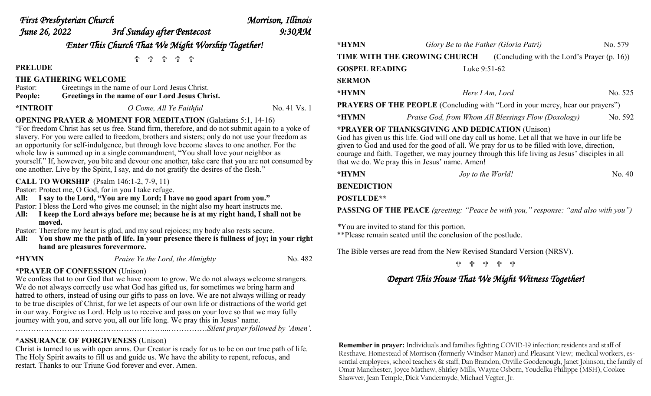| First Presbyterian Church                                                                                                                                                      |                                                                                                    | Morrison, Illinois |                                                                                                                                                                                                 |                                                 |                                                     |         |
|--------------------------------------------------------------------------------------------------------------------------------------------------------------------------------|----------------------------------------------------------------------------------------------------|--------------------|-------------------------------------------------------------------------------------------------------------------------------------------------------------------------------------------------|-------------------------------------------------|-----------------------------------------------------|---------|
| June 26, 2022                                                                                                                                                                  | 3rd Sunday after Pentecost                                                                         | 9:30AM             |                                                                                                                                                                                                 |                                                 |                                                     |         |
| Enter This Church That We Might Worship Together!                                                                                                                              |                                                                                                    |                    | *HYMN                                                                                                                                                                                           | Glory Be to the Father (Gloria Patri)           |                                                     | No. 579 |
|                                                                                                                                                                                | 유 유 유 유                                                                                            |                    | TIME WITH THE GROWING CHURCH                                                                                                                                                                    |                                                 | (Concluding with the Lord's Prayer (p. 16))         |         |
| <b>PRELUDE</b>                                                                                                                                                                 |                                                                                                    |                    | <b>GOSPEL READING</b>                                                                                                                                                                           | Luke 9:51-62                                    |                                                     |         |
|                                                                                                                                                                                | THE GATHERING WELCOME                                                                              |                    | <b>SERMON</b>                                                                                                                                                                                   |                                                 |                                                     |         |
| Pastor:<br><b>People:</b>                                                                                                                                                      | Greetings in the name of our Lord Jesus Christ.<br>Greetings in the name of our Lord Jesus Christ. |                    | *HYMN                                                                                                                                                                                           | Here I Am, Lord                                 |                                                     | No. 52  |
| *INTROIT                                                                                                                                                                       | O Come, All Ye Faithful                                                                            | No. 41 Vs. 1       | <b>PRAYERS OF THE PEOPLE</b> (Concluding with "Lord in your mercy, hear our prayers")                                                                                                           |                                                 |                                                     |         |
| <b>OPENING PRAYER &amp; MOMENT FOR MEDITATION (Galatians 5:1, 14-16)</b>                                                                                                       |                                                                                                    |                    | *HYMN                                                                                                                                                                                           |                                                 | Praise God, from Whom All Blessings Flow (Doxology) | No. 59  |
|                                                                                                                                                                                | "For freedom Christ has set us free. Stand firm, therefore, and do not submit again to a yoke of   |                    |                                                                                                                                                                                                 | *PRAYER OF THANKSGIVING AND DEDICATION (Unison) |                                                     |         |
| slavery. For you were called to freedom, brothers and sisters; only do not use your freedom as                                                                                 |                                                                                                    |                    | God has given us this life. God will one day call us home. Let all that we have in our life be                                                                                                  |                                                 |                                                     |         |
| an opportunity for self-indulgence, but through love become slaves to one another. For the<br>whole law is summed up in a single commandment, "You shall love your neighbor as |                                                                                                    |                    | given to God and used for the good of all. We pray for us to be filled with love, direction,<br>courage and faith. Together, we may journey through this life living as Jesus' disciples in all |                                                 |                                                     |         |

yourself." If, however, you bite and devour one another, take care that you are not consumed by one another. Live by the Spirit, I say, and do not gratify the desires of the flesh."

#### **CALL TO WORSHIP** (Psalm 146:1-2, 7-9, 11)

Pastor: Protect me, O God, for in you I take refuge.

**All: I say to the Lord, "You are my Lord; I have no good apart from you."**

Pastor: I bless the Lord who gives me counsel; in the night also my heart instructs me.

**All: I keep the Lord always before me; because he is at my right hand, I shall not be moved.**

Pastor: Therefore my heart is glad, and my soul rejoices; my body also rests secure.

**All: You show me the path of life. In your presence there is fullness of joy; in your right hand are pleasures forevermore.**

| г<br>٠ |  |
|--------|--|
|--------|--|

*Praise Ye the Lord, the Almighty* No. 482

# \***PRAYER OF CONFESSION** (Unison)

We confess that to our God that we have room to grow. We do not always welcome strangers. We do not always correctly use what God has gifted us, for sometimes we bring harm and hatred to others, instead of using our gifts to pass on love. We are not always willing or ready to be true disciples of Christ, for we let aspects of our own life or distractions of the world get in our way. Forgive us Lord. Help us to receive and pass on your love so that we may fully journey with you, and serve you, all our life long. We pray this in Jesus' name. …………………………………………………...……………*Silent prayer followed by 'Amen'.* 

# **\*ASSURANCE OF FORGIVENESS** (Unison)

Christ is turned to us with open arms. Our Creator is ready for us to be on our true path of life. The Holy Spirit awaits to fill us and guide us. We have the ability to repent, refocus, and restart. Thanks to our Triune God forever and ever. Amen.

**\*HYMN** *Here I Am, Lord* No. 525 hear our prayers") **\*HYMN** *Praise God, from Whom All Blessings Flow (Doxology)* No. 592 have in our life be love, direction, sus' disciples in all that we do. We pray this in Jesus' name. Amen! **\*HYMN** *Joy to the World!* **No. 40 BENEDICTION** 

**POSTLUDE\*\***

**PASSING OF THE PEACE** *(greeting: "Peace be with you," response: "and also with you")*

*\**You are invited to stand for this portion. \*\*Please remain seated until the conclusion of the postlude.

The Bible verses are read from the New Revised Standard Version (NRSV).

*Depart This House That We Might Witness Together!*

**Remember in prayer:** Individuals and families fighting COVID-19 infection; residents and staff of Resthave, Homestead of Morrison (formerly Windsor Manor) and Pleasant View; medical workers, essential employees, school teachers & staff; Dan Brandon, Orville Goodenough, Janet Johnson, the family of Omar Manchester, Joyce Mathew, Shirley Mills, Wayne Osborn, Youdelka Philippe (MSH), Cookee Shawver, Jean Temple, Dick Vandermyde, Michael Vegter, Jr.